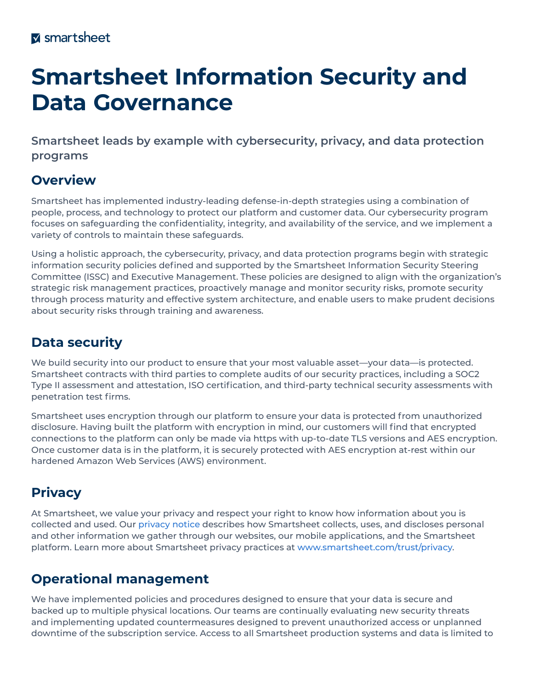# **Smartsheet Information Security and Data Governance**

**Smartsheet leads by example with cybersecurity, privacy, and data protection programs**

## **Overview**

Smartsheet has implemented industry-leading defense-in-depth strategies using a combination of people, process, and technology to protect our platform and customer data. Our cybersecurity program focuses on safeguarding the confidentiality, integrity, and availability of the service, and we implement a variety of controls to maintain these safeguards.

Using a holistic approach, the cybersecurity, privacy, and data protection programs begin with strategic information security policies defined and supported by the Smartsheet Information Security Steering Committee (ISSC) and Executive Management. These policies are designed to align with the organization's strategic risk management practices, proactively manage and monitor security risks, promote security through process maturity and effective system architecture, and enable users to make prudent decisions about security risks through training and awareness.

## **Data security**

We build security into our product to ensure that your most valuable asset—your data—is protected. Smartsheet contracts with third parties to complete audits of our security practices, including a SOC2 Type II assessment and attestation, ISO certification, and third-party technical security assessments with penetration test firms.

Smartsheet uses encryption through our platform to ensure your data is protected from unauthorized disclosure. Having built the platform with encryption in mind, our customers will find that encrypted connections to the platform can only be made via https with up-to-date TLS versions and AES encryption. Once customer data is in the platform, it is securely protected with AES encryption at-rest within our hardened Amazon Web Services (AWS) environment.

## **Privacy**

At Smartsheet, we value your privacy and respect your right to know how information about you is collected and used. Our [privacy notice](https://www.smartsheet.com/legal/privacy) describes how Smartsheet collects, uses, and discloses personal and other information we gather through our websites, our mobile applications, and the Smartsheet platform. Learn more about Smartsheet privacy practices at [www.smartsheet.com/trust/privacy.](http://www.smartsheet.com/trust/privacy)

## **Operational management**

We have implemented policies and procedures designed to ensure that your data is secure and backed up to multiple physical locations. Our teams are continually evaluating new security threats and implementing updated countermeasures designed to prevent unauthorized access or unplanned downtime of the subscription service. Access to all Smartsheet production systems and data is limited to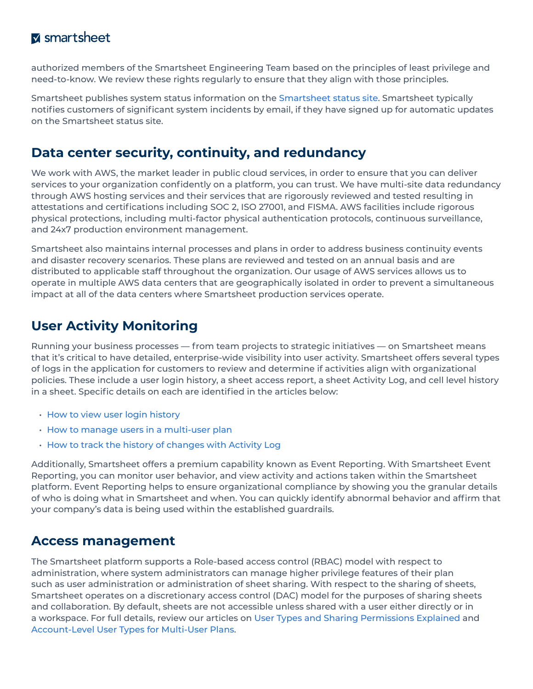#### **M** smartsheet

authorized members of the Smartsheet Engineering Team based on the principles of least privilege and need-to-know. We review these rights regularly to ensure that they align with those principles.

Smartsheet publishes system status information on the [Smartsheet status site](https://status.smartsheet.com/). Smartsheet typically notifies customers of significant system incidents by email, if they have signed up for automatic updates on the Smartsheet status site.

### **Data center security, continuity, and redundancy**

We work with AWS, the market leader in public cloud services, in order to ensure that you can deliver services to your organization confidently on a platform, you can trust. We have multi-site data redundancy through AWS hosting services and their services that are rigorously reviewed and tested resulting in attestations and certifications including SOC 2, ISO 27001, and FISMA. AWS facilities include rigorous physical protections, including multi-factor physical authentication protocols, continuous surveillance, and 24x7 production environment management.

Smartsheet also maintains internal processes and plans in order to address business continuity events and disaster recovery scenarios. These plans are reviewed and tested on an annual basis and are distributed to applicable staff throughout the organization. Our usage of AWS services allows us to operate in multiple AWS data centers that are geographically isolated in order to prevent a simultaneous impact at all of the data centers where Smartsheet production services operate.

## **User Activity Monitoring**

Running your business processes — from team projects to strategic initiatives — on Smartsheet means that it's critical to have detailed, enterprise-wide visibility into user activity. Smartsheet offers several types of logs in the application for customers to review and determine if activities align with organizational policies. These include a user login history, a sheet access report, a sheet Activity Log, and cell level history in a sheet. Specific details on each are identified in the articles below:

- [How to view user login history](https://help.smartsheet.com/articles/520101-viewing-login-history-team-business-enterprise-)
- [How to manage users in a multi-user plan](https://help.smartsheet.com/articles/795920-manage-users-multi-user-plan)
- [How to track the history of changes with Activity Log](https://help.smartsheet.com/articles/2476206-track-sheet-changes-with-activity-log)

Additionally, Smartsheet offers a premium capability known as Event Reporting. With Smartsheet Event Reporting, you can monitor user behavior, and view activity and actions taken within the Smartsheet platform. Event Reporting helps to ensure organizational compliance by showing you the granular details of who is doing what in Smartsheet and when. You can quickly identify abnormal behavior and affirm that your company's data is being used within the established guardrails.

#### **Access management**

The Smartsheet platform supports a Role-based access control (RBAC) model with respect to administration, where system administrators can manage higher privilege features of their plan such as user administration or administration of sheet sharing. With respect to the sharing of sheets, Smartsheet operates on a discretionary access control (DAC) model for the purposes of sharing sheets and collaboration. By default, sheets are not accessible unless shared with a user either directly or in a workspace. For full details, review our articles on [User Types and Sharing Permissions Explained](https://help.smartsheet.com/articles/2476646-infographic-user-types-sharing-permissions-decoded) and [Account-Level User Types for Multi-User Plans](https://help.smartsheet.com/articles/520100-user-types).